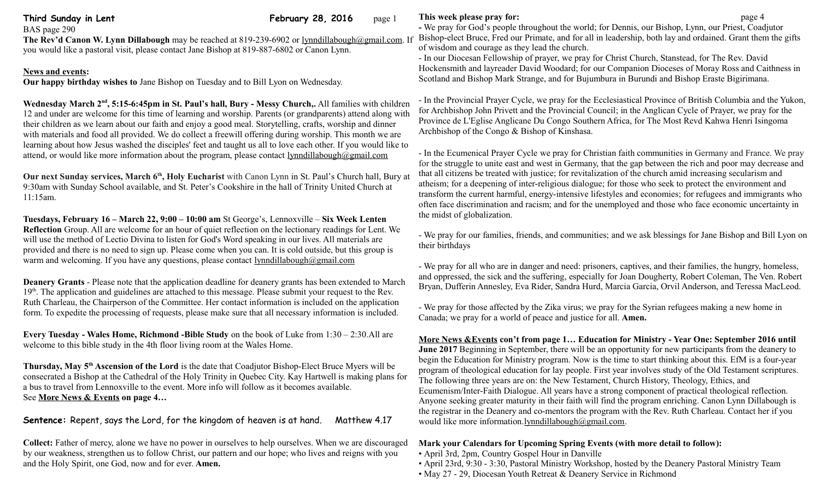**Third Sunday in Lent February 28, 2016** page 1

BAS page 290 **The Rev'd Canon W. Lynn Dillabough** may be reached at 819-239-6902 or [lynndillabough@gmail.com.](mailto:lynndillabough@gmail.com) If you would like a pastoral visit, please contact Jane Bishop at 819-887-6802 or Canon Lynn.

## **News and events:**

**Our happy birthday wishes to** Jane Bishop on Tuesday and to Bill Lyon on Wednesday.

Wednesday March 2<sup>nd</sup>, 5:15-6:45pm in St. Paul's hall, Bury - Messy Church,. All families with children 12 and under are welcome for this time of learning and worship. Parents (or grandparents) attend along with their children as we learn about our faith and enjoy a good meal. Storytelling, crafts, worship and dinner with materials and food all provided. We do collect a freewill offering during worship. This month we are learning about how Jesus washed the disciples' feet and taught us all to love each other. If you would like to attend, or would like more information about the program, please contact [lynndillabough@gmail.com](mailto:lynndillabough@gmail.com)

**Our next Sunday services, March 6th, Holy Eucharist** with Canon Lynn in St. Paul's Church hall, Bury at 9:30am with Sunday School available, and St. Peter's Cookshire in the hall of Trinity United Church at 11:15am.

**Tuesdays, February 16 – March 22, 9:00 – 10:00 am** St George's, Lennoxville – **Six Week Lenten Reflection** Group. All are welcome for an hour of quiet reflection on the lectionary readings for Lent. We will use the method of Lectio Divina to listen for God's Word speaking in our lives. All materials are provided and there is no need to sign up. Please come when you can. It is cold outside, but this group is warm and welcoming. If you have any questions, please contact [lynndillabough@gmail.com](mailto:lynndillabough@gmail.com)

**Deanery Grants** - Please note that the application deadline for deanery grants has been extended to March 19<sup>th</sup>. The application and guidelines are attached to this message. Please submit your request to the Rev. Ruth Charleau, the Chairperson of the Committee. Her contact information is included on the application form. To expedite the processing of requests, please make sure that all necessary information is included.

**Every Tuesday - Wales Home, Richmond -Bible Study** on the book of Luke from 1:30 – 2:30.All are welcome to this bible study in the 4th floor living room at the Wales Home.

**Thursday, May 5th Ascension of the Lord** is the date that Coadjutor Bishop-Elect Bruce Myers will be consecrated a Bishop at the Cathedral of the Holy Trinity in Quebec City. Kay Hartwell is making plans for a bus to travel from Lennoxville to the event. More info will follow as it becomes available. See **More News & Events on page 4…**

**Sentence:** Repent, says the Lord, for the kingdom of heaven is at hand. Matthew 4.17

**Collect:** Father of mercy, alone we have no power in ourselves to help ourselves. When we are discouraged by our weakness, strengthen us to follow Christ, our pattern and our hope; who lives and reigns with you and the Holy Spirit, one God, now and for ever. **Amen.**

# **This week please pray for: page 4**

**-** We pray for God's people throughout the world; for Dennis, our Bishop, Lynn, our Priest, Coadjutor Bishop-elect Bruce, Fred our Primate, and for all in leadership, both lay and ordained. Grant them the gifts of wisdom and courage as they lead the church.

- In our Diocesan Fellowship of prayer, we pray for Christ Church, Stanstead, for The Rev. David Hockensmith and layreader David Woodard; for our Companion Dioceses of Moray Ross and Caithness in Scotland and Bishop Mark Strange, and for Bujumbura in Burundi and Bishop Eraste Bigirimana.

- In the Provincial Prayer Cycle, we pray for the Ecclesiastical Province of British Columbia and the Yukon, for Archbishop John Privett and the Provincial Council; in the Anglican Cycle of Prayer, we pray for the Province de L'Eglise Anglicane Du Congo Southern Africa, for The Most Revd Kahwa Henri Isingoma Archbishop of the Congo & Bishop of Kinshasa.

- In the Ecumenical Prayer Cycle we pray for Christian faith communities in Germany and France. We pray for the struggle to unite east and west in Germany, that the gap between the rich and poor may decrease and that all citizens be treated with justice; for revitalization of the church amid increasing secularism and atheism; for a deepening of inter-religious dialogue; for those who seek to protect the environment and transform the current harmful, energy-intensive lifestyles and economies; for refugees and immigrants who often face discrimination and racism; and for the unemployed and those who face economic uncertainty in the midst of globalization.

- We pray for our families, friends, and communities; and we ask blessings for Jane Bishop and Bill Lyon on their birthdays

- We pray for all who are in danger and need: prisoners, captives, and their families, the hungry, homeless, and oppressed, the sick and the suffering, especially for Joan Dougherty, Robert Coleman, The Ven. Robert Bryan, Dufferin Annesley, Eva Rider, Sandra Hurd, Marcia Garcia, Orvil Anderson, and Teressa MacLeod.

- We pray for those affected by the Zika virus; we pray for the Syrian refugees making a new home in Canada; we pray for a world of peace and justice for all. **Amen.**

 **More News &Events con't from page 1… Education for Ministry - Year One: September 2016 until June 2017** Beginning in September, there will be an opportunity for new participants from the deanery to begin the Education for Ministry program. Now is the time to start thinking about this. EfM is a four-year program of theological education for lay people. First year involves study of the Old Testament scriptures. The following three years are on: the New Testament, Church History, Theology, Ethics, and Ecumenism/Inter-Faith Dialogue. All years have a strong component of practical theological reflection. Anyone seeking greater maturity in their faith will find the program enriching. Canon Lynn Dillabough is the registrar in the Deanery and co-mentors the program with the Rev. Ruth Charleau. Contact her if you would like more information[.lynndillabough@gmail.com.](mailto:lynndillabough@gmail.com)

# **Mark your Calendars for Upcoming Spring Events (with more detail to follow):**

- April 3rd, 2pm, Country Gospel Hour in Danville
- April 23rd, 9:30 3:30, Pastoral Ministry Workshop, hosted by the Deanery Pastoral Ministry Team
- May 27 29, Diocesan Youth Retreat & Deanery Service in Richmond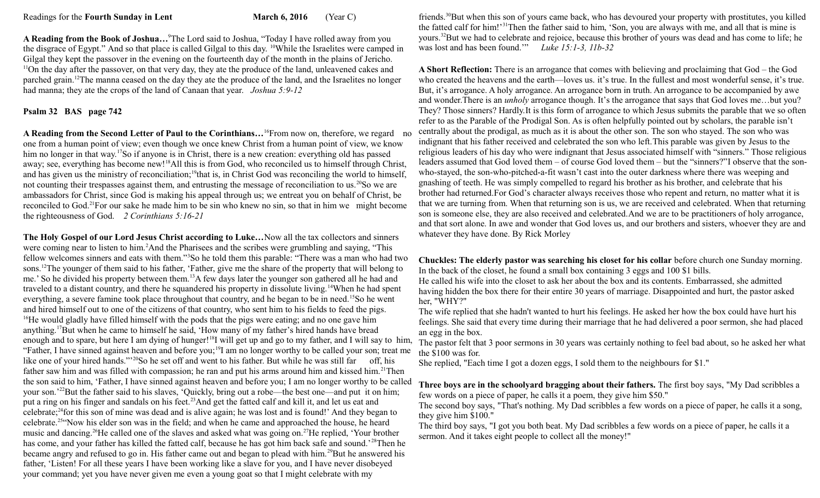**A Reading from the Book of Joshua…**<sup>9</sup>The Lord said to Joshua, "Today I have rolled away from you the disgrace of Egypt." And so that place is called Gilgal to this day. <sup>10</sup>While the Israelites were camped in Gilgal they kept the passover in the evening on the fourteenth day of the month in the plains of Jericho.  $11$ On the day after the passover, on that very day, they ate the produce of the land, unleavened cakes and parched grain.<sup>12</sup>The manna ceased on the day they ate the produce of the land, and the Israelites no longer had manna; they ate the crops of the land of Canaan that year. *Joshua 5:9-12*

### **Psalm 32 BAS page 742**

**A Reading from the Second Letter of Paul to the Corinthians…**<sup>16</sup>From now on, therefore, we regard no one from a human point of view; even though we once knew Christ from a human point of view, we know him no longer in that way.<sup>17</sup>So if anyone is in Christ, there is a new creation: everything old has passed away; see, everything has become new!<sup>18</sup>All this is from God, who reconciled us to himself through Christ, and has given us the ministry of reconciliation;<sup>19</sup>that is, in Christ God was reconciling the world to himself, not counting their trespasses against them, and entrusting the message of reconciliation to us. <sup>20</sup>So we are ambassadors for Christ, since God is making his appeal through us; we entreat you on behalf of Christ, be reconciled to God.<sup>21</sup>For our sake he made him to be sin who knew no sin, so that in him we might become the righteousness of God. *2 Corinthians 5:16-21* 

**The Holy Gospel of our Lord Jesus Christ according to Luke…**Now all the tax collectors and sinners were coming near to listen to him.<sup>2</sup>And the Pharisees and the scribes were grumbling and saying, "This fellow welcomes sinners and eats with them."<sup>3</sup>So he told them this parable: "There was a man who had two sons.<sup>12</sup>The younger of them said to his father, 'Father, give me the share of the property that will belong to me.' So he divided his property between them.<sup>13</sup>A few days later the younger son gathered all he had and traveled to a distant country, and there he squandered his property in dissolute living.<sup>14</sup>When he had spent everything, a severe famine took place throughout that country, and he began to be in need.<sup>15</sup>So he went and hired himself out to one of the citizens of that country, who sent him to his fields to feed the pigs. <sup>16</sup>He would gladly have filled himself with the pods that the pigs were eating; and no one gave him anything.<sup>17</sup>But when he came to himself he said, 'How many of my father's hired hands have bread enough and to spare, but here I am dying of hunger!<sup>18</sup>I will get up and go to my father, and I will say to him, "Father, I have sinned against heaven and before you;<sup>19</sup>I am no longer worthy to be called your son; treat me like one of your hired hands."<sup>20</sup>So he set off and went to his father. But while he was still far off, his father saw him and was filled with compassion; he ran and put his arms around him and kissed him.<sup>21</sup>Then the son said to him, 'Father, I have sinned against heaven and before you; I am no longer worthy to be called your son.'<sup>22</sup>But the father said to his slaves, 'Quickly, bring out a robe—the best one—and put it on him; put a ring on his finger and sandals on his feet.<sup>23</sup>And get the fatted calf and kill it, and let us eat and celebrate;<sup>24</sup>for this son of mine was dead and is alive again; he was lost and is found!' And they began to celebrate.<sup>25</sup>"Now his elder son was in the field; and when he came and approached the house, he heard music and dancing.<sup>26</sup>He called one of the slaves and asked what was going on.<sup>27</sup>He replied, 'Your brother has come, and your father has killed the fatted calf, because he has got him back safe and sound.'<sup>28</sup>Then he became angry and refused to go in. His father came out and began to plead with him.<sup>29</sup>But he answered his father, 'Listen! For all these years I have been working like a slave for you, and I have never disobeyed your command; yet you have never given me even a young goat so that I might celebrate with my

friends.<sup>30</sup>But when this son of yours came back, who has devoured your property with prostitutes, you killed the fatted calf for him!'<sup>31</sup>Then the father said to him, 'Son, you are always with me, and all that is mine is yours.<sup>32</sup>But we had to celebrate and rejoice, because this brother of yours was dead and has come to life; he was lost and has been found.'" *Luke 15:1-3, 11b-32*

**A Short Reflection:** There is an arrogance that comes with believing and proclaiming that God – the God who created the heavens and the earth—loves us. it's true. In the fullest and most wonderful sense, it's true. But, it's arrogance. A holy arrogance. An arrogance born in truth. An arrogance to be accompanied by awe and wonder.There is an *unholy* arrogance though. It's the arrogance that says that God loves me…but you? They? Those sinners? Hardly.It is this form of arrogance to which Jesus submits the parable that we so often refer to as the Parable of the Prodigal Son. As is often helpfully pointed out by scholars, the parable isn't centrally about the prodigal, as much as it is about the other son. The son who stayed. The son who was indignant that his father received and celebrated the son who left.This parable was given by Jesus to the religious leaders of his day who were indignant that Jesus associated himself with "sinners." Those religious leaders assumed that God loved them – of course God loved them – but the "sinners?"I observe that the sonwho-stayed, the son-who-pitched-a-fit wasn't cast into the outer darkness where there was weeping and gnashing of teeth. He was simply compelled to regard his brother as his brother, and celebrate that his brother had returned.For God's character always receives those who repent and return, no matter what it is that we are turning from. When that returning son is us, we are received and celebrated. When that returning son is someone else, they are also received and celebrated.And we are to be practitioners of holy arrogance, and that sort alone. In awe and wonder that God loves us, and our brothers and sisters, whoever they are and whatever they have done. By Rick Morley

**Chuckles: The elderly pastor was searching his closet for his collar** before church one Sunday morning. In the back of the closet, he found a small box containing 3 eggs and 100 \$1 bills.

He called his wife into the closet to ask her about the box and its contents. Embarrassed, she admitted having hidden the box there for their entire 30 years of marriage. Disappointed and hurt, the pastor asked her, "WHY?"

The wife replied that she hadn't wanted to hurt his feelings. He asked her how the box could have hurt his feelings. She said that every time during their marriage that he had delivered a poor sermon, she had placed an egg in the box.

The pastor felt that 3 poor sermons in 30 years was certainly nothing to feel bad about, so he asked her what the \$100 was for.

She replied, "Each time I got a dozen eggs, I sold them to the neighbours for \$1."

**Three boys are in the schoolyard bragging about their fathers.** The first boy says, "My Dad scribbles a few words on a piece of paper, he calls it a poem, they give him \$50."

The second boy says, "That's nothing. My Dad scribbles a few words on a piece of paper, he calls it a song, they give him \$100."

The third boy says, "I got you both beat. My Dad scribbles a few words on a piece of paper, he calls it a sermon. And it takes eight people to collect all the money!"